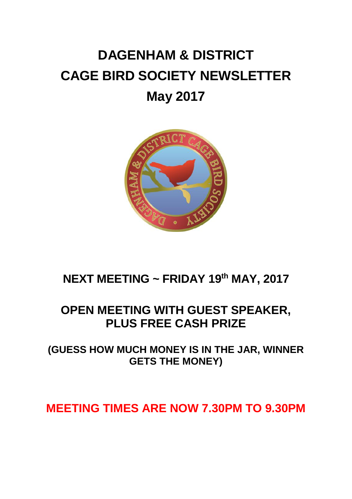# **DAGENHAM & DISTRICT CAGE BIRD SOCIETY NEWSLETTER May 2017**



### **NEXT MEETING ~ FRIDAY 19 th MAY, 2017**

#### **OPEN MEETING WITH GUEST SPEAKER, PLUS FREE CASH PRIZE**

**(GUESS HOW MUCH MONEY IS IN THE JAR, WINNER GETS THE MONEY)**

#### **MEETING TIMES ARE NOW 7.30PM TO 9.30PM**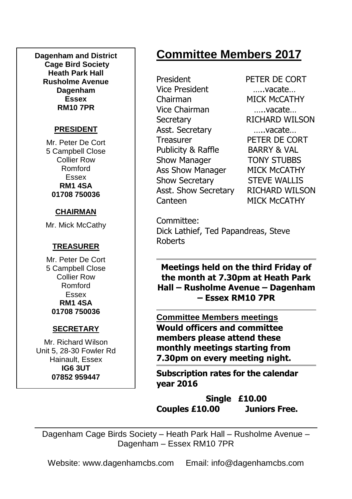**Dagenham and District Cage Bird Society Heath Park Hall Rusholme Avenue Dagenham Essex RM10 7PR**

#### **PRESIDENT**

Mr. Peter De Cort 5 Campbell Close Collier Row Romford Essex **RM1 4SA 01708 750036**

#### **CHAIRMAN**

Mr. Mick McCathy

#### **TREASURER**

Mr. Peter De Cort 5 Campbell Close Collier Row Romford Essex **RM1 4SA 01708 750036**

#### **SECRETARY**

Mr. Richard Wilson Unit 5, 28-30 Fowler Rd Hainault, Essex **IG6 3UT 07852 959447**

# **Committee Members 2017**

President PETER DE CORT Vice President …..vacate… Chairman MICK McCATHY Vice Chairman …..vacate… Secretary RICHARD WILSON Asst. Secretary …..vacate… Treasurer PETER DE CORT Publicity & Raffle BARRY & VAL Show Manager **TONY STUBBS** Ass Show Manager MICK McCATHY Show Secretary STEVE WALLIS Asst. Show Secretary RICHARD WILSON Canteen MICK McCATHY

Committee: Dick Lathief, Ted Papandreas, Steve Roberts

**Meetings held on the third Friday of the month at 7.30pm at Heath Park Hall – Rusholme Avenue – Dagenham – Essex RM10 7PR**

**Committee Members meetings Would officers and committee members please attend these monthly meetings starting from 7.30pm on every meeting night.**

**Subscription rates for the calendar year 2016**

**Single £10.00 Couples £10.00 Juniors Free.**

Dagenham Cage Birds Society – Heath Park Hall – Rusholme Avenue – Dagenham – Essex RM10 7PR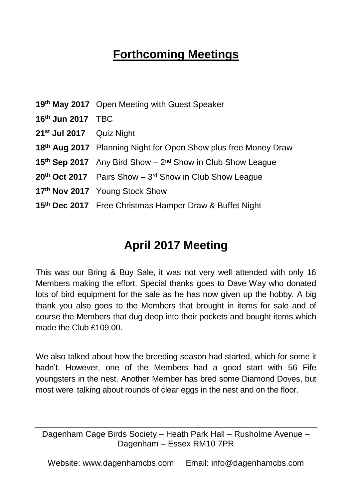# **Forthcoming Meetings**

| 16th Jun 2017 TBC<br>21 <sup>st</sup> Jul 2017 Quiz Night<br>18th Aug 2017 Planning Night for Open Show plus free Money Draw<br>15 <sup>th</sup> Sep 2017 Any Bird Show - 2 <sup>nd</sup> Show in Club Show League<br>$20th$ Oct 2017 Pairs Show - $3rd$ Show in Club Show League<br>17th Nov 2017 Young Stock Show<br>15 <sup>th</sup> Dec 2017 Free Christmas Hamper Draw & Buffet Night | 19th May 2017 Open Meeting with Guest Speaker |
|--------------------------------------------------------------------------------------------------------------------------------------------------------------------------------------------------------------------------------------------------------------------------------------------------------------------------------------------------------------------------------------------|-----------------------------------------------|
|                                                                                                                                                                                                                                                                                                                                                                                            |                                               |
|                                                                                                                                                                                                                                                                                                                                                                                            |                                               |
|                                                                                                                                                                                                                                                                                                                                                                                            |                                               |
|                                                                                                                                                                                                                                                                                                                                                                                            |                                               |
|                                                                                                                                                                                                                                                                                                                                                                                            |                                               |
|                                                                                                                                                                                                                                                                                                                                                                                            |                                               |
|                                                                                                                                                                                                                                                                                                                                                                                            |                                               |

### **April 2017 Meeting**

This was our Bring & Buy Sale, it was not very well attended with only 16 Members making the effort. Special thanks goes to Dave Way who donated lots of bird equipment for the sale as he has now given up the hobby. A big thank you also goes to the Members that brought in items for sale and of course the Members that dug deep into their pockets and bought items which made the Club £109.00.

We also talked about how the breeding season had started, which for some it hadn't. However, one of the Members had a good start with 56 Fife youngsters in the nest. Another Member has bred some Diamond Doves, but most were talking about rounds of clear eggs in the nest and on the floor.

Dagenham Cage Birds Society – Heath Park Hall – Rusholme Avenue – Dagenham – Essex RM10 7PR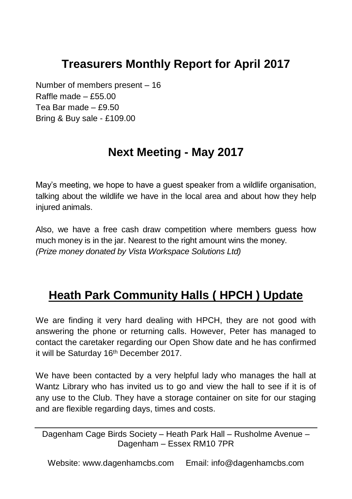### **Treasurers Monthly Report for April 2017**

Number of members present – 16 Raffle made  $-$  £55.00 Tea Bar made – £9.50 Bring & Buy sale - £109.00

### **Next Meeting - May 2017**

May's meeting, we hope to have a guest speaker from a wildlife organisation, talking about the wildlife we have in the local area and about how they help injured animals.

Also, we have a free cash draw competition where members guess how much money is in the jar. Nearest to the right amount wins the money. *(Prize money donated by Vista Workspace Solutions Ltd)* 

# **Heath Park Community Halls ( HPCH ) Update**

We are finding it very hard dealing with HPCH, they are not good with answering the phone or returning calls. However, Peter has managed to contact the caretaker regarding our Open Show date and he has confirmed it will be Saturday 16<sup>th</sup> December 2017.

We have been contacted by a very helpful lady who manages the hall at Wantz Library who has invited us to go and view the hall to see if it is of any use to the Club. They have a storage container on site for our staging and are flexible regarding days, times and costs.

Dagenham Cage Birds Society – Heath Park Hall – Rusholme Avenue – Dagenham – Essex RM10 7PR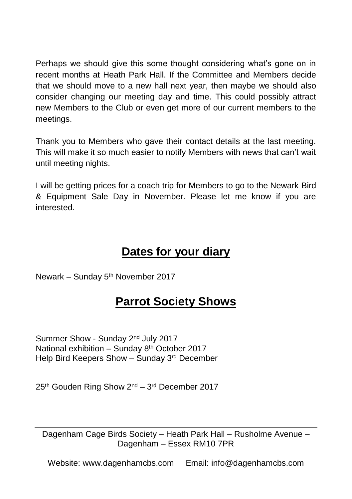Perhaps we should give this some thought considering what's gone on in recent months at Heath Park Hall. If the Committee and Members decide that we should move to a new hall next year, then maybe we should also consider changing our meeting day and time. This could possibly attract new Members to the Club or even get more of our current members to the meetings.

Thank you to Members who gave their contact details at the last meeting. This will make it so much easier to notify Members with news that can't wait until meeting nights.

I will be getting prices for a coach trip for Members to go to the Newark Bird & Equipment Sale Day in November. Please let me know if you are interested.

#### **Dates for your diary**

Newark – Sunday  $5<sup>th</sup>$  November 2017

### **Parrot Society Shows**

Summer Show - Sunday 2nd July 2017 National exhibition – Sunday 8<sup>th</sup> October 2017 Help Bird Keepers Show – Sunday 3rd December

25<sup>th</sup> Gouden Ring Show 2<sup>nd</sup> – 3<sup>rd</sup> December 2017

Dagenham Cage Birds Society – Heath Park Hall – Rusholme Avenue – Dagenham – Essex RM10 7PR

Website: www.dagenhamcbs.com Email: info@dagenhamcbs.com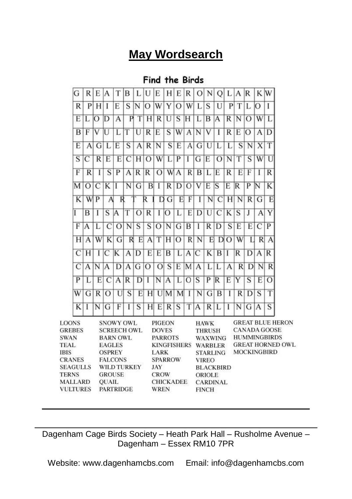### **May Wordsearch**

#### **Find the Birds**



Dagenham Cage Birds Society – Heath Park Hall – Rusholme Avenue – Dagenham – Essex RM10 7PR

Website: www.dagenhamcbs.com Email: info@dagenhamcbs.com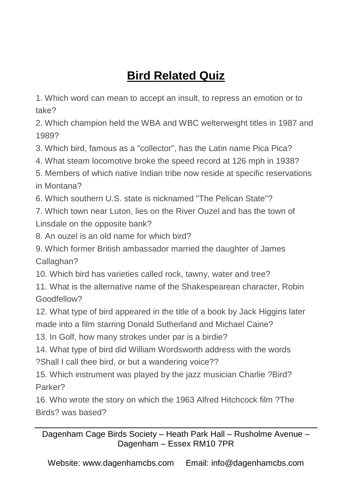# **Bird Related Quiz**

1. Which word can mean to accept an insult, to repress an emotion or to take?

2. Which champion held the WBA and WBC welterweight titles in 1987 and 1989?

3. Which bird, famous as a "collector", has the Latin name Pica Pica?

4. What steam locomotive broke the speed record at 126 mph in 1938?

5. Members of which native Indian tribe now reside at specific reservations in Montana?

6. Which southern U.S. state is nicknamed "The Pelican State"?

7. Which town near Luton, lies on the River Ouzel and has the town of Linsdale on the opposite bank?

8. An ouzel is an old name for which bird?

9. Which former British ambassador married the daughter of James Callaghan?

10. Which bird has varieties called rock, tawny, water and tree?

11. What is the alternative name of the Shakespearean character, Robin Goodfellow?

12. What type of bird appeared in the title of a book by Jack Higgins later made into a film starring Donald Sutherland and Michael Caine?

13. In Golf, how many strokes under par is a birdie?

14. What type of bird did William Wordsworth address with the words ?Shall I call thee bird, or but a wandering voice??

15. Which instrument was played by the jazz musician Charlie ?Bird? Parker?

16. Who wrote the story on which the 1963 Alfred Hitchcock film ?The Birds? was based?

Dagenham Cage Birds Society – Heath Park Hall – Rusholme Avenue – Dagenham – Essex RM10 7PR

Website: www.dagenhamcbs.com Email: info@dagenhamcbs.com